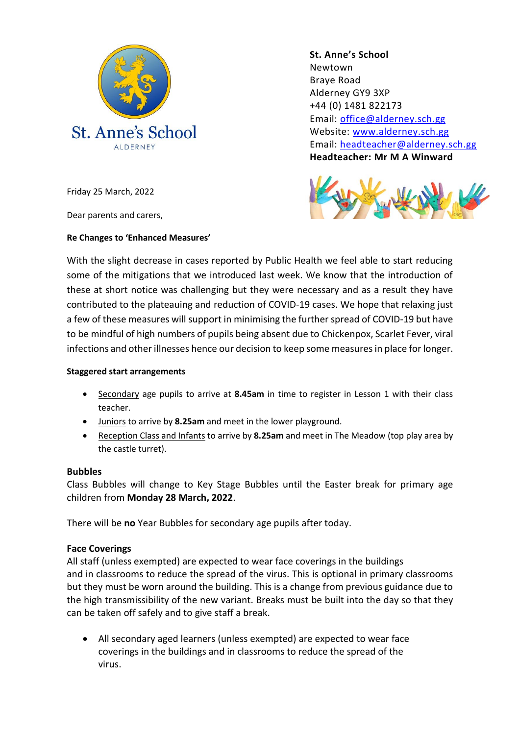

**St. Anne's School**  Newtown Braye Road Alderney GY9 3XP +44 (0) 1481 822173 Email: [office@alderney.sch.gg](mailto:office@alderney.sch.gg) Website: [www.alderney.sch.gg](http://www.alderney.sch.gg/) Email: [headteacher@alderney.sch.gg](mailto:headteacher@alderney.sch.gg) **Headteacher: Mr M A Winward**



Friday 25 March, 2022

Dear parents and carers,

### **Re Changes to 'Enhanced Measures'**

With the slight decrease in cases reported by Public Health we feel able to start reducing some of the mitigations that we introduced last week. We know that the introduction of these at short notice was challenging but they were necessary and as a result they have contributed to the plateauing and reduction of COVID-19 cases. We hope that relaxing just a few of these measures will support in minimising the further spread of COVID-19 but have to be mindful of high numbers of pupils being absent due to Chickenpox, Scarlet Fever, viral infections and other illnesses hence our decision to keep some measures in place for longer.

#### **Staggered start arrangements**

- Secondary age pupils to arrive at **8.45am** in time to register in Lesson 1 with their class teacher.
- Juniors to arrive by **8.25am** and meet in the lower playground.
- Reception Class and Infants to arrive by **8.25am** and meet in The Meadow (top play area by the castle turret).

# **Bubbles**

Class Bubbles will change to Key Stage Bubbles until the Easter break for primary age children from **Monday 28 March, 2022**.

There will be **no** Year Bubbles for secondary age pupils after today.

# **Face Coverings**

All staff (unless exempted) are expected to wear face coverings in the buildings and in classrooms to reduce the spread of the virus. This is optional in primary classrooms but they must be worn around the building. This is a change from previous guidance due to the high transmissibility of the new variant. Breaks must be built into the day so that they can be taken off safely and to give staff a break.

• All secondary aged learners (unless exempted) are expected to wear face coverings in the buildings and in classrooms to reduce the spread of the virus.